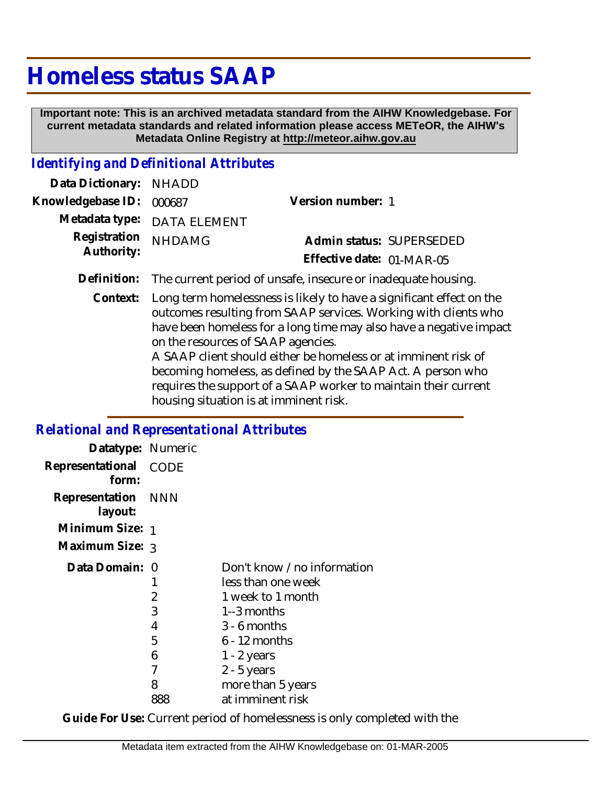# **Homeless status SAAP**

 **Important note: This is an archived metadata standard from the AIHW Knowledgebase. For current metadata standards and related information please access METeOR, the AIHW's Metadata Online Registry at http://meteor.aihw.gov.au**

## *Identifying and Definitional Attributes*

| Data Dictionary: NHADD   |                                                                           |                           |                          |
|--------------------------|---------------------------------------------------------------------------|---------------------------|--------------------------|
| Knowledgebase ID: 000687 |                                                                           | Version number: 1         |                          |
|                          | Metadata type: DATA ELEMENT                                               |                           |                          |
| Registration NHDAMG      |                                                                           |                           | Admin status: SUPERSEDED |
| Authority:               |                                                                           | Effective date: 01-MAR-05 |                          |
|                          | Definition: The current period of unsafe, insecure or inadequate housing. |                           |                          |

Context: Long term homelessness is likely to have a significant effect on the outcomes resulting from SAAP services. Working with clients who have been homeless for a long time may also have a negative impact on the resources of SAAP agencies. A SAAP client should either be homeless or at imminent risk of becoming homeless, as defined by the SAAP Act. A person who requires the support of a SAAP worker to maintain their current

housing situation is at imminent risk.

#### *Relational and Representational Attributes*

| Datatype: Numeric             |      |                            |
|-------------------------------|------|----------------------------|
| Representational<br>form:     | CODE |                            |
| Representation NNN<br>layout: |      |                            |
| Minimum Size: 1               |      |                            |
| Maximum Size: 3               |      |                            |
| Data Domain: 0                |      | Don't know /no information |
|                               | 1    | less than one week         |
|                               | 2    | 1 week to 1 month          |
|                               | 3    | 1 $-3$ months              |
|                               | 4    | $3 - 6$ months             |
|                               | 5    | $6 - 12$ months            |
|                               | 6    | $1 - 2$ years              |
|                               | 7    | $2 - 5$ years              |
|                               | 8    | more than 5 years          |
|                               | 888  | at imminent risk           |

**Guide For Use:** Current period of homelessness is only completed with the